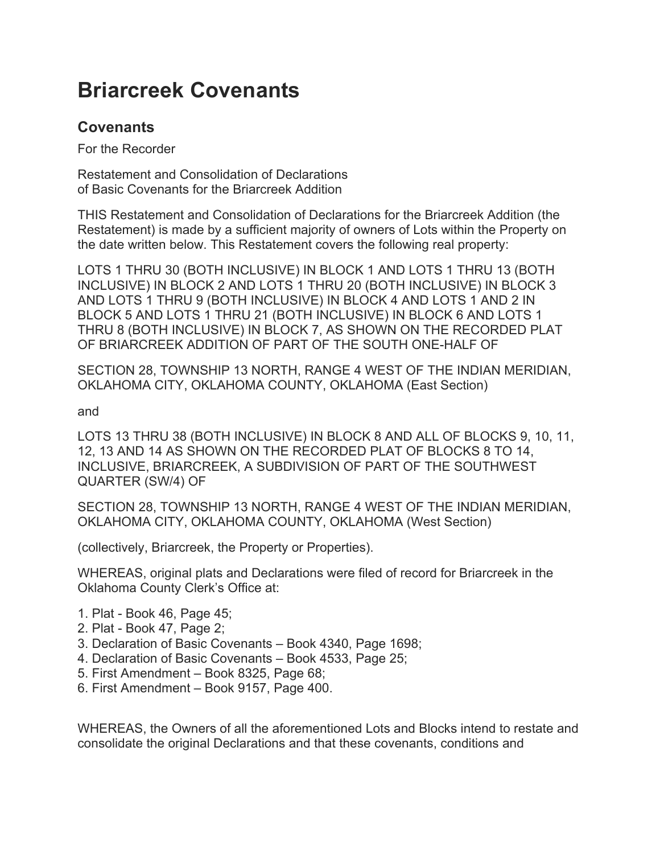# **Briarcreek Covenants**

## **Covenants**

For the Recorder

Restatement and Consolidation of Declarations of Basic Covenants for the Briarcreek Addition

THIS Restatement and Consolidation of Declarations for the Briarcreek Addition (the Restatement) is made by a sufficient majority of owners of Lots within the Property on the date written below. This Restatement covers the following real property:

LOTS 1 THRU 30 (BOTH INCLUSIVE) IN BLOCK 1 AND LOTS 1 THRU 13 (BOTH INCLUSIVE) IN BLOCK 2 AND LOTS 1 THRU 20 (BOTH INCLUSIVE) IN BLOCK 3 AND LOTS 1 THRU 9 (BOTH INCLUSIVE) IN BLOCK 4 AND LOTS 1 AND 2 IN BLOCK 5 AND LOTS 1 THRU 21 (BOTH INCLUSIVE) IN BLOCK 6 AND LOTS 1 THRU 8 (BOTH INCLUSIVE) IN BLOCK 7, AS SHOWN ON THE RECORDED PLAT OF BRIARCREEK ADDITION OF PART OF THE SOUTH ONE-HALF OF

SECTION 28, TOWNSHIP 13 NORTH, RANGE 4 WEST OF THE INDIAN MERIDIAN, OKLAHOMA CITY, OKLAHOMA COUNTY, OKLAHOMA (East Section)

and

LOTS 13 THRU 38 (BOTH INCLUSIVE) IN BLOCK 8 AND ALL OF BLOCKS 9, 10, 11, 12, 13 AND 14 AS SHOWN ON THE RECORDED PLAT OF BLOCKS 8 TO 14, INCLUSIVE, BRIARCREEK, A SUBDIVISION OF PART OF THE SOUTHWEST QUARTER (SW/4) OF

SECTION 28, TOWNSHIP 13 NORTH, RANGE 4 WEST OF THE INDIAN MERIDIAN, OKLAHOMA CITY, OKLAHOMA COUNTY, OKLAHOMA (West Section)

(collectively, Briarcreek, the Property or Properties).

WHEREAS, original plats and Declarations were filed of record for Briarcreek in the Oklahoma County Clerk's Office at:

- 1. Plat Book 46, Page 45;
- 2. Plat Book 47, Page 2;
- 3. Declaration of Basic Covenants Book 4340, Page 1698;
- 4. Declaration of Basic Covenants Book 4533, Page 25;
- 5. First Amendment Book 8325, Page 68;
- 6. First Amendment Book 9157, Page 400.

WHEREAS, the Owners of all the aforementioned Lots and Blocks intend to restate and consolidate the original Declarations and that these covenants, conditions and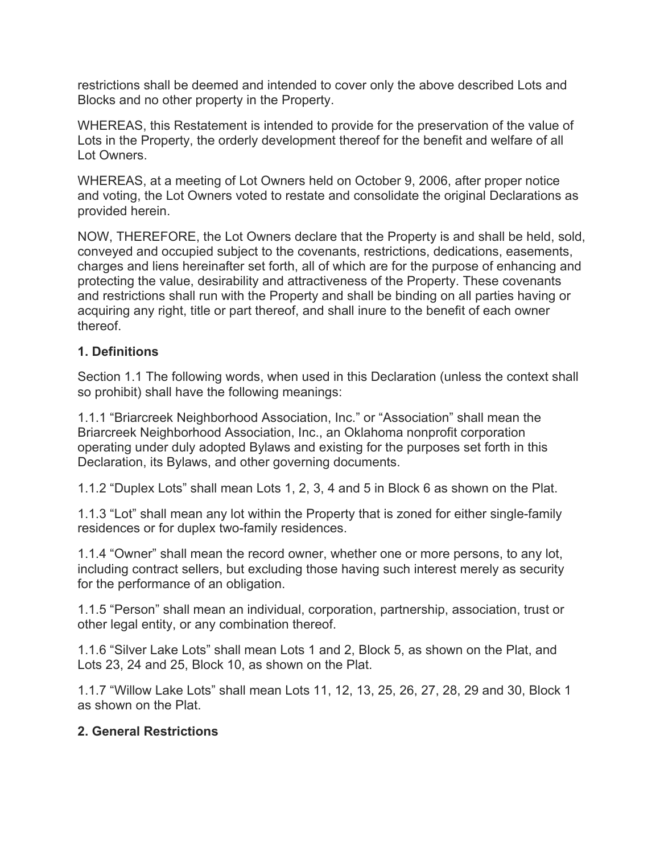restrictions shall be deemed and intended to cover only the above described Lots and Blocks and no other property in the Property.

WHEREAS, this Restatement is intended to provide for the preservation of the value of Lots in the Property, the orderly development thereof for the benefit and welfare of all Lot Owners.

WHEREAS, at a meeting of Lot Owners held on October 9, 2006, after proper notice and voting, the Lot Owners voted to restate and consolidate the original Declarations as provided herein.

NOW, THEREFORE, the Lot Owners declare that the Property is and shall be held, sold, conveyed and occupied subject to the covenants, restrictions, dedications, easements, charges and liens hereinafter set forth, all of which are for the purpose of enhancing and protecting the value, desirability and attractiveness of the Property. These covenants and restrictions shall run with the Property and shall be binding on all parties having or acquiring any right, title or part thereof, and shall inure to the benefit of each owner thereof.

### **1. Definitions**

Section 1.1 The following words, when used in this Declaration (unless the context shall so prohibit) shall have the following meanings:

1.1.1 "Briarcreek Neighborhood Association, Inc." or "Association" shall mean the Briarcreek Neighborhood Association, Inc., an Oklahoma nonprofit corporation operating under duly adopted Bylaws and existing for the purposes set forth in this Declaration, its Bylaws, and other governing documents.

1.1.2 "Duplex Lots" shall mean Lots 1, 2, 3, 4 and 5 in Block 6 as shown on the Plat.

1.1.3 "Lot" shall mean any lot within the Property that is zoned for either single-family residences or for duplex two-family residences.

1.1.4 "Owner" shall mean the record owner, whether one or more persons, to any lot, including contract sellers, but excluding those having such interest merely as security for the performance of an obligation.

1.1.5 "Person" shall mean an individual, corporation, partnership, association, trust or other legal entity, or any combination thereof.

1.1.6 "Silver Lake Lots" shall mean Lots 1 and 2, Block 5, as shown on the Plat, and Lots 23, 24 and 25, Block 10, as shown on the Plat.

1.1.7 "Willow Lake Lots" shall mean Lots 11, 12, 13, 25, 26, 27, 28, 29 and 30, Block 1 as shown on the Plat.

#### **2. General Restrictions**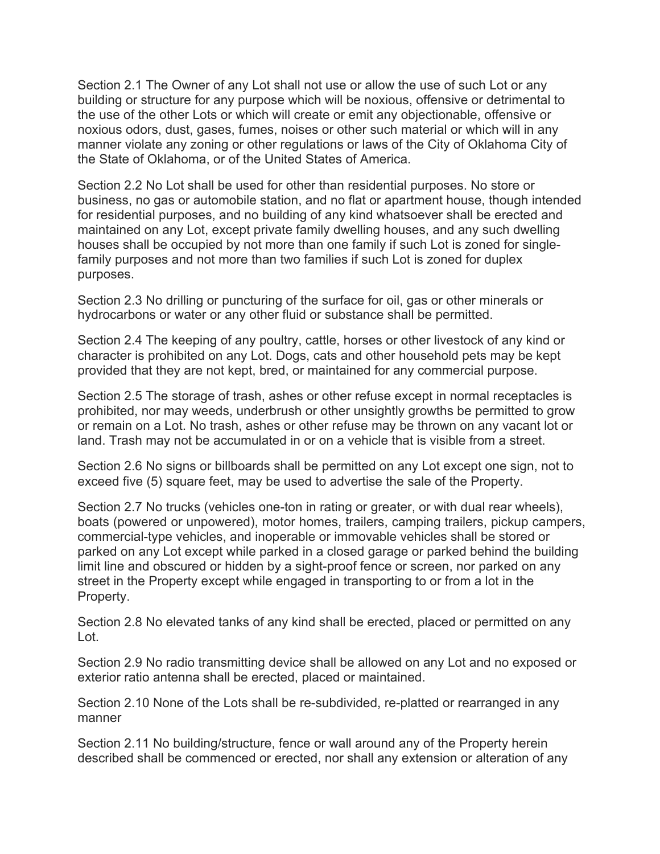Section 2.1 The Owner of any Lot shall not use or allow the use of such Lot or any building or structure for any purpose which will be noxious, offensive or detrimental to the use of the other Lots or which will create or emit any objectionable, offensive or noxious odors, dust, gases, fumes, noises or other such material or which will in any manner violate any zoning or other regulations or laws of the City of Oklahoma City of the State of Oklahoma, or of the United States of America.

Section 2.2 No Lot shall be used for other than residential purposes. No store or business, no gas or automobile station, and no flat or apartment house, though intended for residential purposes, and no building of any kind whatsoever shall be erected and maintained on any Lot, except private family dwelling houses, and any such dwelling houses shall be occupied by not more than one family if such Lot is zoned for singlefamily purposes and not more than two families if such Lot is zoned for duplex purposes.

Section 2.3 No drilling or puncturing of the surface for oil, gas or other minerals or hydrocarbons or water or any other fluid or substance shall be permitted.

Section 2.4 The keeping of any poultry, cattle, horses or other livestock of any kind or character is prohibited on any Lot. Dogs, cats and other household pets may be kept provided that they are not kept, bred, or maintained for any commercial purpose.

Section 2.5 The storage of trash, ashes or other refuse except in normal receptacles is prohibited, nor may weeds, underbrush or other unsightly growths be permitted to grow or remain on a Lot. No trash, ashes or other refuse may be thrown on any vacant lot or land. Trash may not be accumulated in or on a vehicle that is visible from a street.

Section 2.6 No signs or billboards shall be permitted on any Lot except one sign, not to exceed five (5) square feet, may be used to advertise the sale of the Property.

Section 2.7 No trucks (vehicles one-ton in rating or greater, or with dual rear wheels), boats (powered or unpowered), motor homes, trailers, camping trailers, pickup campers, commercial-type vehicles, and inoperable or immovable vehicles shall be stored or parked on any Lot except while parked in a closed garage or parked behind the building limit line and obscured or hidden by a sight-proof fence or screen, nor parked on any street in the Property except while engaged in transporting to or from a lot in the Property.

Section 2.8 No elevated tanks of any kind shall be erected, placed or permitted on any Lot.

Section 2.9 No radio transmitting device shall be allowed on any Lot and no exposed or exterior ratio antenna shall be erected, placed or maintained.

Section 2.10 None of the Lots shall be re-subdivided, re-platted or rearranged in any manner

Section 2.11 No building/structure, fence or wall around any of the Property herein described shall be commenced or erected, nor shall any extension or alteration of any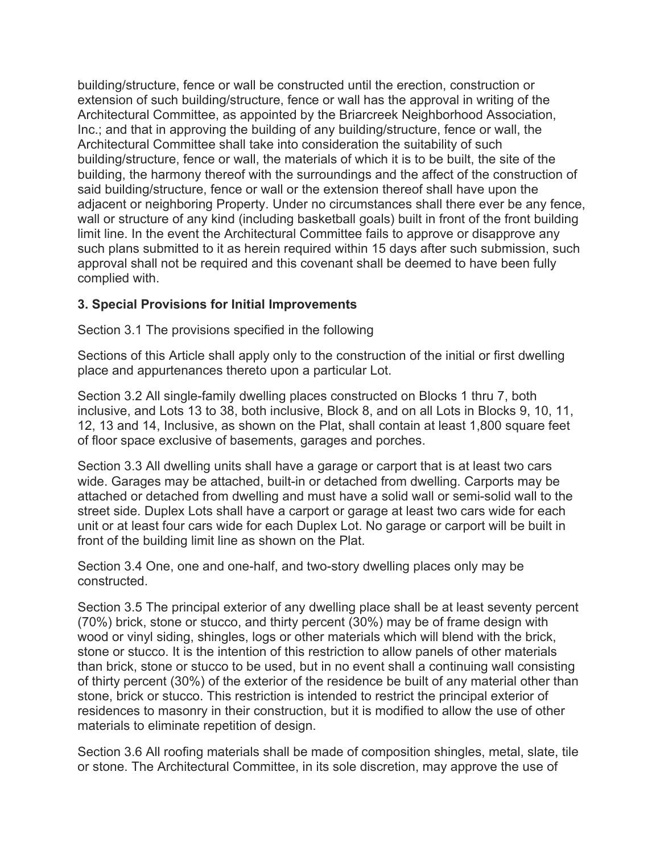building/structure, fence or wall be constructed until the erection, construction or extension of such building/structure, fence or wall has the approval in writing of the Architectural Committee, as appointed by the Briarcreek Neighborhood Association, Inc.; and that in approving the building of any building/structure, fence or wall, the Architectural Committee shall take into consideration the suitability of such building/structure, fence or wall, the materials of which it is to be built, the site of the building, the harmony thereof with the surroundings and the affect of the construction of said building/structure, fence or wall or the extension thereof shall have upon the adjacent or neighboring Property. Under no circumstances shall there ever be any fence, wall or structure of any kind (including basketball goals) built in front of the front building limit line. In the event the Architectural Committee fails to approve or disapprove any such plans submitted to it as herein required within 15 days after such submission, such approval shall not be required and this covenant shall be deemed to have been fully complied with.

### **3. Special Provisions for Initial Improvements**

Section 3.1 The provisions specified in the following

Sections of this Article shall apply only to the construction of the initial or first dwelling place and appurtenances thereto upon a particular Lot.

Section 3.2 All single-family dwelling places constructed on Blocks 1 thru 7, both inclusive, and Lots 13 to 38, both inclusive, Block 8, and on all Lots in Blocks 9, 10, 11, 12, 13 and 14, Inclusive, as shown on the Plat, shall contain at least 1,800 square feet of floor space exclusive of basements, garages and porches.

Section 3.3 All dwelling units shall have a garage or carport that is at least two cars wide. Garages may be attached, built-in or detached from dwelling. Carports may be attached or detached from dwelling and must have a solid wall or semi-solid wall to the street side. Duplex Lots shall have a carport or garage at least two cars wide for each unit or at least four cars wide for each Duplex Lot. No garage or carport will be built in front of the building limit line as shown on the Plat.

Section 3.4 One, one and one-half, and two-story dwelling places only may be constructed.

Section 3.5 The principal exterior of any dwelling place shall be at least seventy percent (70%) brick, stone or stucco, and thirty percent (30%) may be of frame design with wood or vinyl siding, shingles, logs or other materials which will blend with the brick, stone or stucco. It is the intention of this restriction to allow panels of other materials than brick, stone or stucco to be used, but in no event shall a continuing wall consisting of thirty percent (30%) of the exterior of the residence be built of any material other than stone, brick or stucco. This restriction is intended to restrict the principal exterior of residences to masonry in their construction, but it is modified to allow the use of other materials to eliminate repetition of design.

Section 3.6 All roofing materials shall be made of composition shingles, metal, slate, tile or stone. The Architectural Committee, in its sole discretion, may approve the use of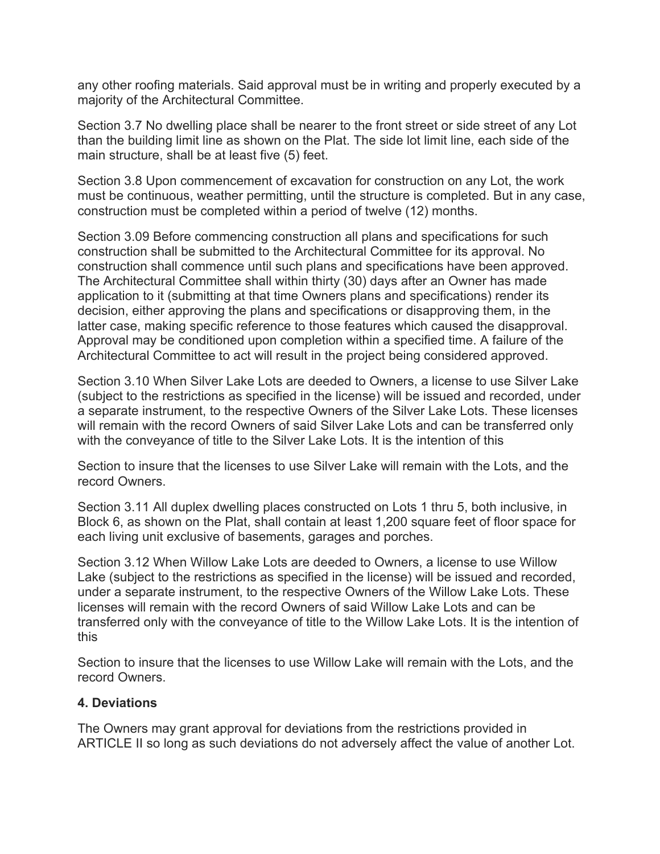any other roofing materials. Said approval must be in writing and properly executed by a majority of the Architectural Committee.

Section 3.7 No dwelling place shall be nearer to the front street or side street of any Lot than the building limit line as shown on the Plat. The side lot limit line, each side of the main structure, shall be at least five (5) feet.

Section 3.8 Upon commencement of excavation for construction on any Lot, the work must be continuous, weather permitting, until the structure is completed. But in any case, construction must be completed within a period of twelve (12) months.

Section 3.09 Before commencing construction all plans and specifications for such construction shall be submitted to the Architectural Committee for its approval. No construction shall commence until such plans and specifications have been approved. The Architectural Committee shall within thirty (30) days after an Owner has made application to it (submitting at that time Owners plans and specifications) render its decision, either approving the plans and specifications or disapproving them, in the latter case, making specific reference to those features which caused the disapproval. Approval may be conditioned upon completion within a specified time. A failure of the Architectural Committee to act will result in the project being considered approved.

Section 3.10 When Silver Lake Lots are deeded to Owners, a license to use Silver Lake (subject to the restrictions as specified in the license) will be issued and recorded, under a separate instrument, to the respective Owners of the Silver Lake Lots. These licenses will remain with the record Owners of said Silver Lake Lots and can be transferred only with the conveyance of title to the Silver Lake Lots. It is the intention of this

Section to insure that the licenses to use Silver Lake will remain with the Lots, and the record Owners.

Section 3.11 All duplex dwelling places constructed on Lots 1 thru 5, both inclusive, in Block 6, as shown on the Plat, shall contain at least 1,200 square feet of floor space for each living unit exclusive of basements, garages and porches.

Section 3.12 When Willow Lake Lots are deeded to Owners, a license to use Willow Lake (subject to the restrictions as specified in the license) will be issued and recorded, under a separate instrument, to the respective Owners of the Willow Lake Lots. These licenses will remain with the record Owners of said Willow Lake Lots and can be transferred only with the conveyance of title to the Willow Lake Lots. It is the intention of this

Section to insure that the licenses to use Willow Lake will remain with the Lots, and the record Owners.

#### **4. Deviations**

The Owners may grant approval for deviations from the restrictions provided in ARTICLE II so long as such deviations do not adversely affect the value of another Lot.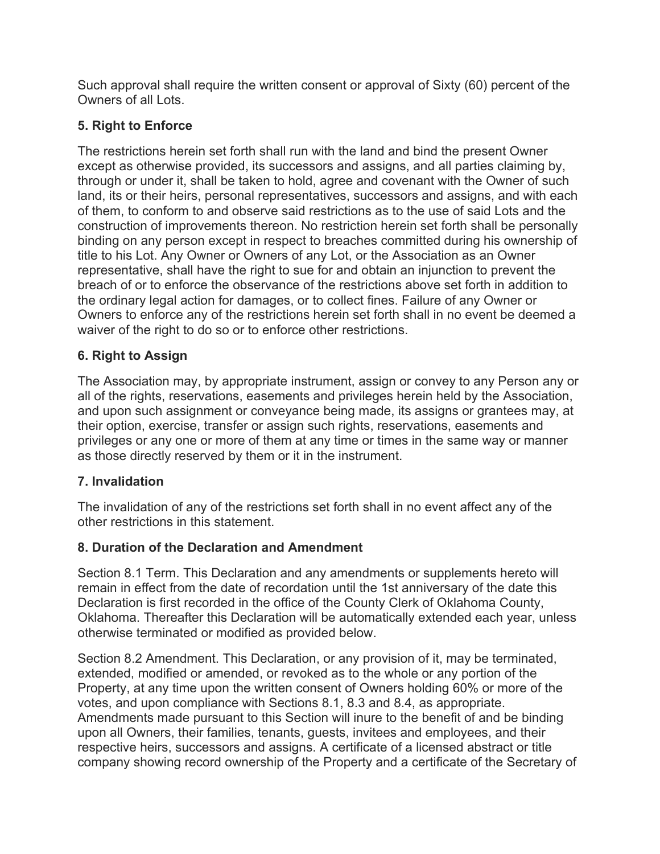Such approval shall require the written consent or approval of Sixty (60) percent of the Owners of all Lots.

## **5. Right to Enforce**

The restrictions herein set forth shall run with the land and bind the present Owner except as otherwise provided, its successors and assigns, and all parties claiming by, through or under it, shall be taken to hold, agree and covenant with the Owner of such land, its or their heirs, personal representatives, successors and assigns, and with each of them, to conform to and observe said restrictions as to the use of said Lots and the construction of improvements thereon. No restriction herein set forth shall be personally binding on any person except in respect to breaches committed during his ownership of title to his Lot. Any Owner or Owners of any Lot, or the Association as an Owner representative, shall have the right to sue for and obtain an injunction to prevent the breach of or to enforce the observance of the restrictions above set forth in addition to the ordinary legal action for damages, or to collect fines. Failure of any Owner or Owners to enforce any of the restrictions herein set forth shall in no event be deemed a waiver of the right to do so or to enforce other restrictions.

## **6. Right to Assign**

The Association may, by appropriate instrument, assign or convey to any Person any or all of the rights, reservations, easements and privileges herein held by the Association, and upon such assignment or conveyance being made, its assigns or grantees may, at their option, exercise, transfer or assign such rights, reservations, easements and privileges or any one or more of them at any time or times in the same way or manner as those directly reserved by them or it in the instrument.

## **7. Invalidation**

The invalidation of any of the restrictions set forth shall in no event affect any of the other restrictions in this statement.

## **8. Duration of the Declaration and Amendment**

Section 8.1 Term. This Declaration and any amendments or supplements hereto will remain in effect from the date of recordation until the 1st anniversary of the date this Declaration is first recorded in the office of the County Clerk of Oklahoma County, Oklahoma. Thereafter this Declaration will be automatically extended each year, unless otherwise terminated or modified as provided below.

Section 8.2 Amendment. This Declaration, or any provision of it, may be terminated, extended, modified or amended, or revoked as to the whole or any portion of the Property, at any time upon the written consent of Owners holding 60% or more of the votes, and upon compliance with Sections 8.1, 8.3 and 8.4, as appropriate. Amendments made pursuant to this Section will inure to the benefit of and be binding upon all Owners, their families, tenants, guests, invitees and employees, and their respective heirs, successors and assigns. A certificate of a licensed abstract or title company showing record ownership of the Property and a certificate of the Secretary of